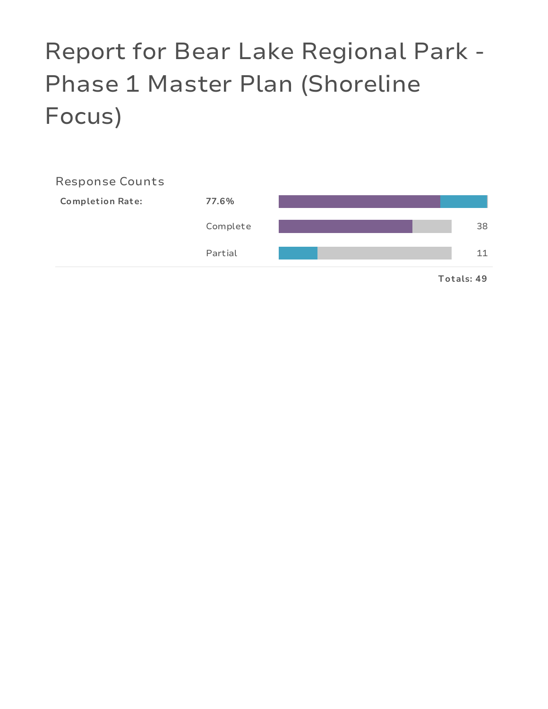# Report for Bear Lake Regional Park - Phase 1 Master Plan (Shoreline Focus)

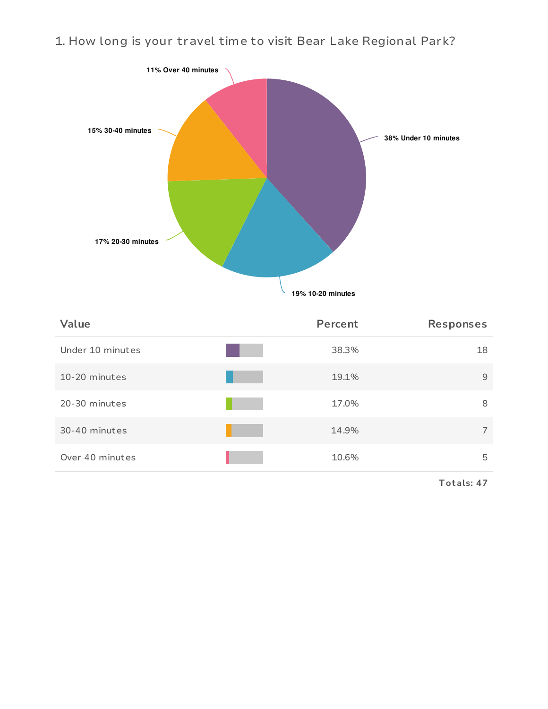1. How long is your travel time to visit Bear Lake Regional Park?



| Value            | Percent | <b>Responses</b> |
|------------------|---------|------------------|
| Under 10 minutes | 38.3%   | 18               |
| 10-20 minutes    | 19.1%   | 9                |
| 20-30 minutes    | 17.0%   | 8                |
| 30-40 minutes    | 14.9%   | $\overline{7}$   |
| Over 40 minutes  | 10.6%   | 5                |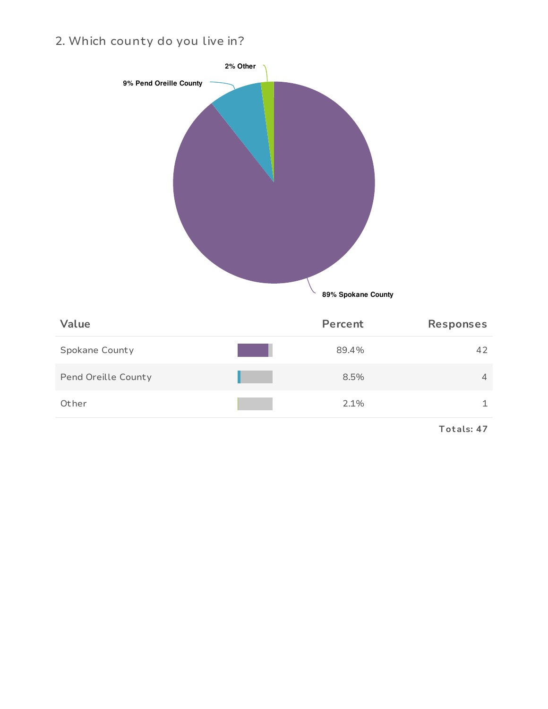2. Which county do you live in?

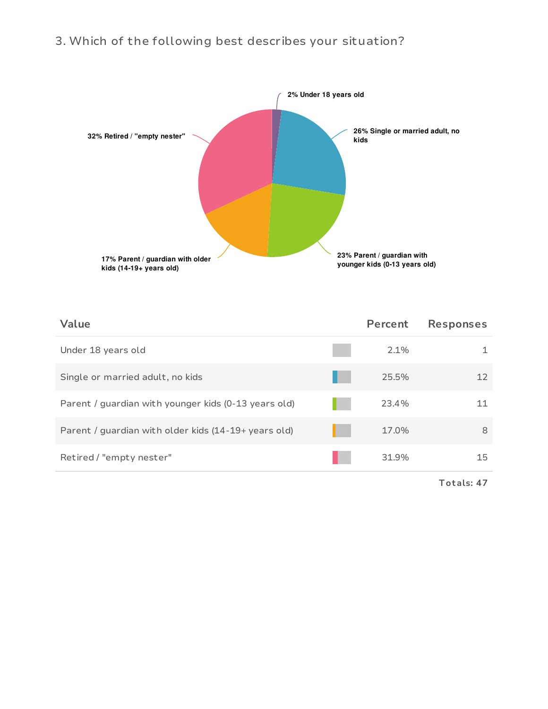# 3. Which of the following best describes your situation?



| Value                                                | Percent | <b>Responses</b> |
|------------------------------------------------------|---------|------------------|
| Under 18 years old                                   | 2.1%    |                  |
| Single or married adult, no kids                     | 25.5%   | 12               |
| Parent / guardian with younger kids (0-13 years old) | 23.4%   | 11               |
| Parent / guardian with older kids (14-19+ years old) | 17.0%   | 8                |
| Retired / "empty nester"                             | 31.9%   | 15               |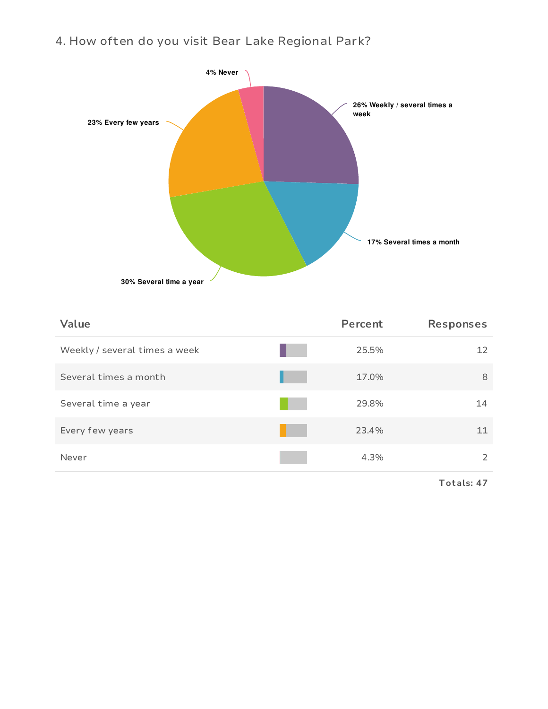# 4. How often do you visit Bear Lake Regional Park?



| Value                         | Percent | <b>Responses</b> |
|-------------------------------|---------|------------------|
| Weekly / several times a week | 25.5%   | 12               |
| Several times a month         | 17.0%   | 8                |
| Several time a year           | 29.8%   | 14               |
| Every few years               | 23.4%   | 11               |
| Never                         | 4.3%    | 2                |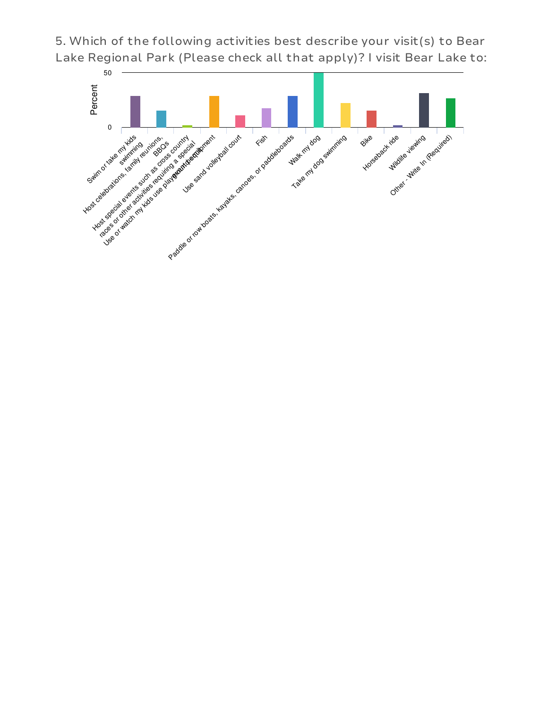5. Which of the following activities best describe your visit(s) to Bear Lake Regional Park (Please check all that apply)? I visit Bear Lake to:

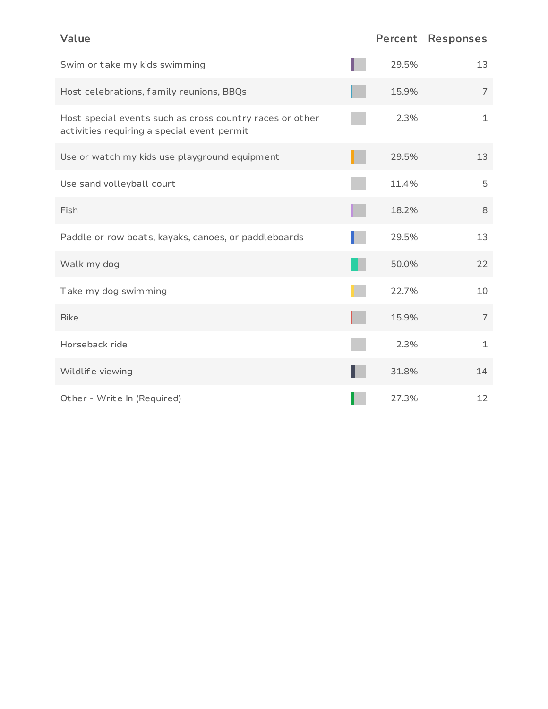| Value                                                                                                   | Percent | <b>Responses</b> |
|---------------------------------------------------------------------------------------------------------|---------|------------------|
| Swim or take my kids swimming                                                                           | 29.5%   | 13               |
| Host celebrations, family reunions, BBQs                                                                | 15.9%   | 7                |
| Host special events such as cross country races or other<br>activities requiring a special event permit | 2.3%    | $\mathbf 1$      |
| Use or watch my kids use playground equipment                                                           | 29.5%   | 13               |
| Use sand volleyball court                                                                               | 11.4%   | 5                |
| Fish                                                                                                    | 18.2%   | 8                |
| Paddle or row boats, kayaks, canoes, or paddleboards                                                    | 29.5%   | 13               |
| Walk my dog                                                                                             | 50.0%   | 22               |
| Take my dog swimming                                                                                    | 22.7%   | 10               |
| <b>Bike</b>                                                                                             | 15.9%   | $\overline{7}$   |
| Horseback ride                                                                                          | 2.3%    | $\mathbf 1$      |
| Wildlife viewing                                                                                        | 31.8%   | 14               |
| Other - Write In (Required)                                                                             | 27.3%   | 12               |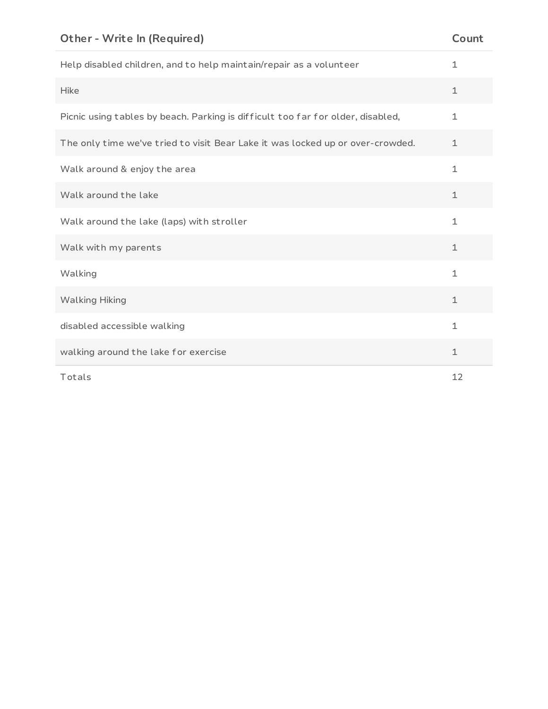| Help disabled children, and to help maintain/repair as a volunteer              | $\mathbf 1$  |
|---------------------------------------------------------------------------------|--------------|
| <b>Hike</b>                                                                     | $\mathbf 1$  |
| Picnic using tables by beach. Parking is difficult too far for older, disabled, | $\mathbf 1$  |
| The only time we've tried to visit Bear Lake it was locked up or over-crowded.  | $\mathbf 1$  |
| Walk around & enjoy the area                                                    | $\mathbf 1$  |
| Walk around the lake                                                            | $\mathbf 1$  |
| Walk around the lake (laps) with stroller                                       | $\mathbf 1$  |
| Walk with my parents                                                            | $\mathbf 1$  |
| Walking                                                                         | $\mathbf{1}$ |
| <b>Walking Hiking</b>                                                           | $\mathbf 1$  |
| disabled accessible walking                                                     | $\mathbf 1$  |
| walking around the lake for exercise                                            | $\mathbf 1$  |
| Totals                                                                          | 12           |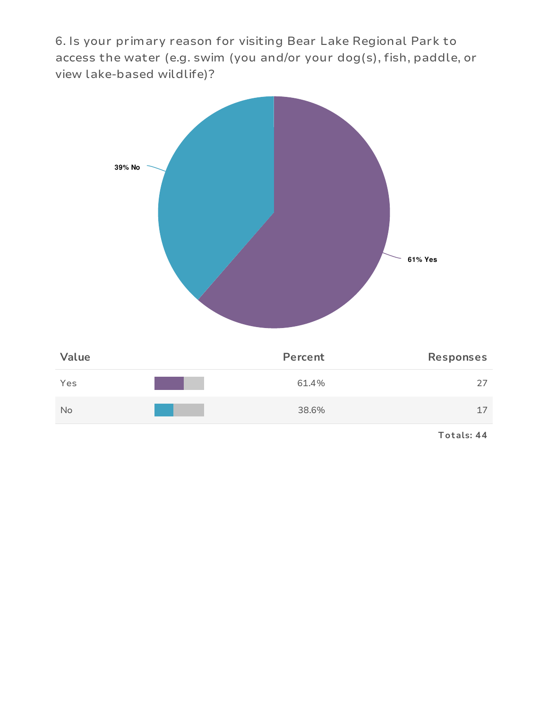6. Is your primary reason for visiting Bear Lake Regional Park to access the water (e.g. swim (you and/or your dog(s), fish, paddle, or view lake-based wildlife)?

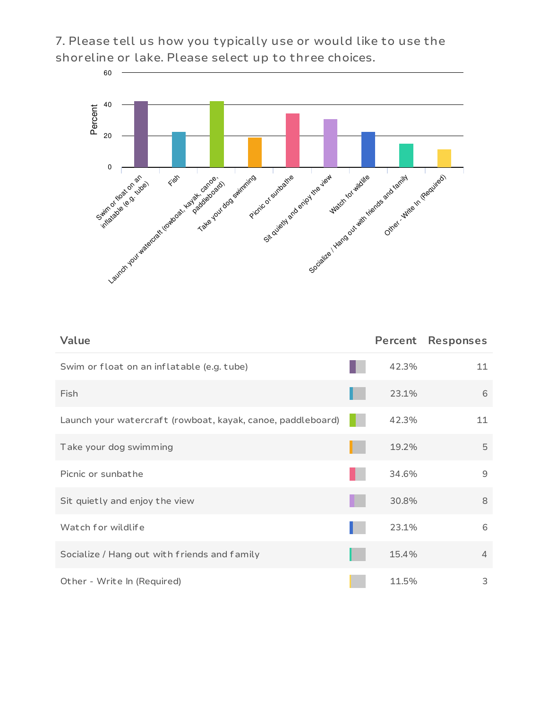7. Please tell us how you typically use or would like to use the shoreline or lake. Please select up to three choices.



| Value                                                       | Percent | <b>Responses</b> |
|-------------------------------------------------------------|---------|------------------|
| Swim or float on an inflatable (e.g. tube)                  | 42.3%   | 11               |
| Fish                                                        | 23.1%   | 6                |
| Launch your watercraft (rowboat, kayak, canoe, paddleboard) | 42.3%   | 11               |
| Take your dog swimming                                      | 19.2%   | 5                |
| Picnic or sunbathe                                          | 34.6%   | 9                |
| Sit quietly and enjoy the view                              | 30.8%   | 8                |
| Watch for wildlife                                          | 23.1%   | 6                |
| Socialize / Hang out with friends and family                | 15.4%   | $\overline{4}$   |
| Other - Write In (Required)                                 | 11.5%   | 3                |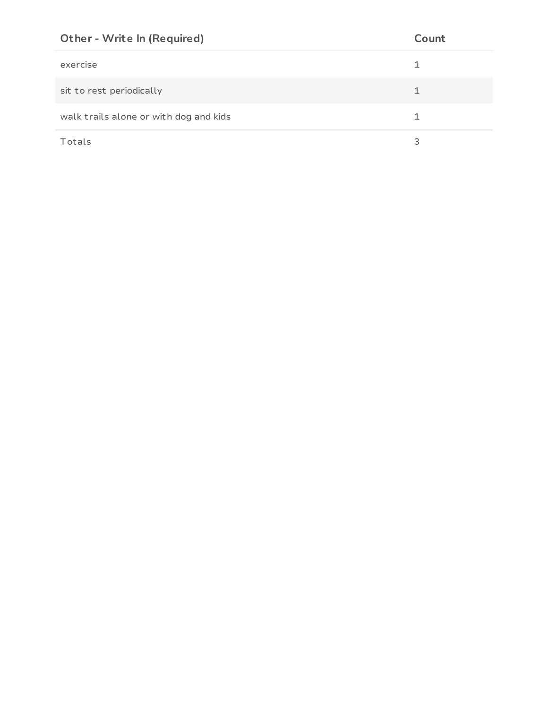| <b>Other - Write In (Required)</b>     | Count |
|----------------------------------------|-------|
| exercise                               |       |
| sit to rest periodically               |       |
| walk trails alone or with dog and kids |       |
| Totals                                 | 3     |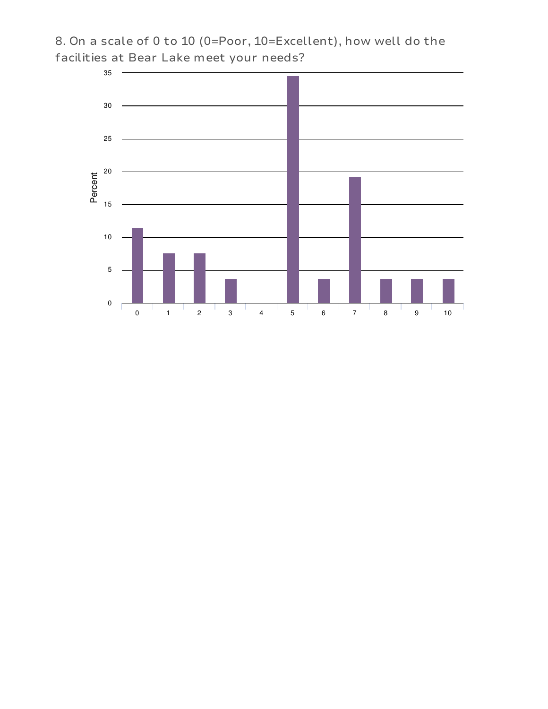

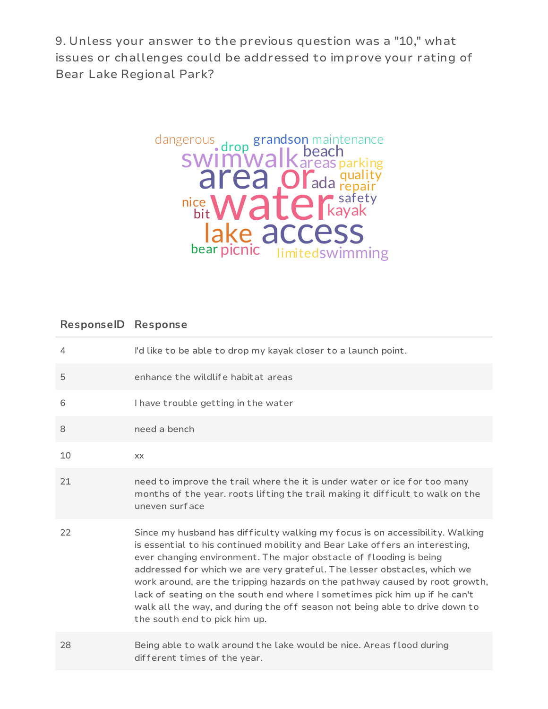9. Unless your answer to the previous question was a "10," what issues or challenges could be addressed to improve your rating of Bear Lake Regional Park?



## **ResponseID Response**

| $\overline{4}$ | I'd like to be able to drop my kayak closer to a launch point.                                                                                                                                                                                                                                                                                                                                                                                                                                                                                                                              |
|----------------|---------------------------------------------------------------------------------------------------------------------------------------------------------------------------------------------------------------------------------------------------------------------------------------------------------------------------------------------------------------------------------------------------------------------------------------------------------------------------------------------------------------------------------------------------------------------------------------------|
| 5              | enhance the wildlife habit at areas                                                                                                                                                                                                                                                                                                                                                                                                                                                                                                                                                         |
| 6              | I have trouble getting in the water                                                                                                                                                                                                                                                                                                                                                                                                                                                                                                                                                         |
| 8              | need a bench                                                                                                                                                                                                                                                                                                                                                                                                                                                                                                                                                                                |
| 10             | XX                                                                                                                                                                                                                                                                                                                                                                                                                                                                                                                                                                                          |
| 21             | need to improve the trail where the it is under water or ice for too many<br>months of the year. roots lifting the trail making it difficult to walk on the<br>uneven surface                                                                                                                                                                                                                                                                                                                                                                                                               |
| 22             | Since my husband has difficulty walking my focus is on accessibility. Walking<br>is essential to his continued mobility and Bear Lake offers an interesting,<br>ever changing environment. The major obstacle of flooding is being<br>addressed for which we are very grateful. The lesser obstacles, which we<br>work around, are the tripping hazards on the pathway caused by root growth,<br>lack of seating on the south end where I sometimes pick him up if he can't<br>walk all the way, and during the off season not being able to drive down to<br>the south end to pick him up. |
| 28             | Being able to walk around the lake would be nice. Areas flood during<br>different times of the year.                                                                                                                                                                                                                                                                                                                                                                                                                                                                                        |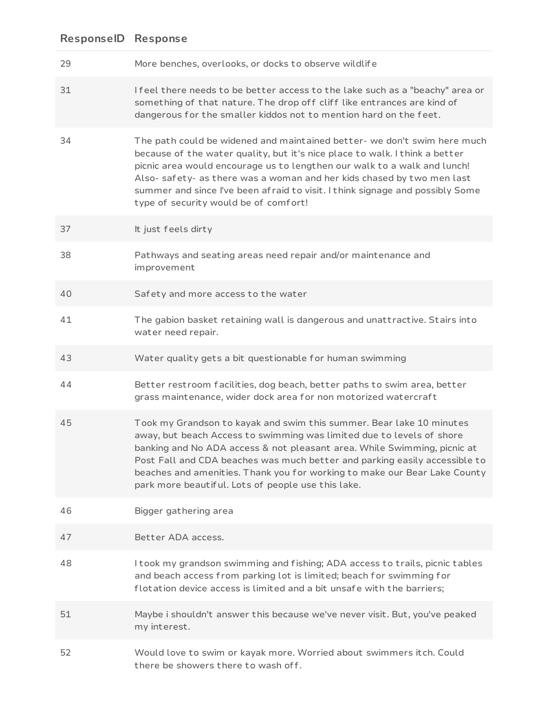| 29 | More benches, overlooks, or docks to observe wildlife                                                                                                                                                                                                                                                                                                                                                                                      |
|----|--------------------------------------------------------------------------------------------------------------------------------------------------------------------------------------------------------------------------------------------------------------------------------------------------------------------------------------------------------------------------------------------------------------------------------------------|
| 31 | Ifeel there needs to be better access to the lake such as a "beachy" area or<br>something of that nature. The drop off cliff like entrances are kind of<br>dangerous for the smaller kiddos not to mention hard on the feet.                                                                                                                                                                                                               |
| 34 | The path could be widened and maintained better- we don't swim here much<br>because of the water quality, but it's nice place to walk. I think a better<br>picnic area would encourage us to lengthen our walk to a walk and lunch!<br>Also- safety- as there was a woman and her kids chased by two men last<br>summer and since I've been afraid to visit. I think signage and possibly Some<br>type of security would be of comfort!    |
| 37 | It just feels dirty                                                                                                                                                                                                                                                                                                                                                                                                                        |
| 38 | Pathways and seating areas need repair and/or maintenance and<br>improvement                                                                                                                                                                                                                                                                                                                                                               |
| 40 | Safety and more access to the water                                                                                                                                                                                                                                                                                                                                                                                                        |
| 41 | The gabion basket retaining wall is dangerous and unattractive. Stairs into<br>water need repair.                                                                                                                                                                                                                                                                                                                                          |
| 43 | Water quality gets a bit questionable for human swimming                                                                                                                                                                                                                                                                                                                                                                                   |
| 44 | Better restroom facilities, dog beach, better paths to swim area, better<br>grass maintenance, wider dock area for non motorized watercraft                                                                                                                                                                                                                                                                                                |
| 45 | Took my Grandson to kayak and swim this summer. Bear lake 10 minutes<br>away, but beach Access to swimming was limited due to levels of shore<br>banking and No ADA access & not pleasant area. While Swimming, picnic at<br>Post Fall and CDA beaches was much better and parking easily accessible to<br>beaches and amenities. Thank you for working to make our Bear Lake County<br>park more beautiful. Lots of people use this lake. |
| 46 | Bigger gathering area                                                                                                                                                                                                                                                                                                                                                                                                                      |
| 47 | Better ADA access.                                                                                                                                                                                                                                                                                                                                                                                                                         |
| 48 | I took my grandson swimming and fishing; ADA access to trails, picnic tables<br>and beach access from parking lot is limited; beach for swimming for<br>flotation device access is limited and a bit unsafe with the barriers;                                                                                                                                                                                                             |
| 51 | Maybe i shouldn't answer this because we've never visit. But, you've peaked<br>my interest.                                                                                                                                                                                                                                                                                                                                                |
| 52 | Would love to swim or kayak more. Worried about swimmers itch. Could<br>there be showers there to wash off.                                                                                                                                                                                                                                                                                                                                |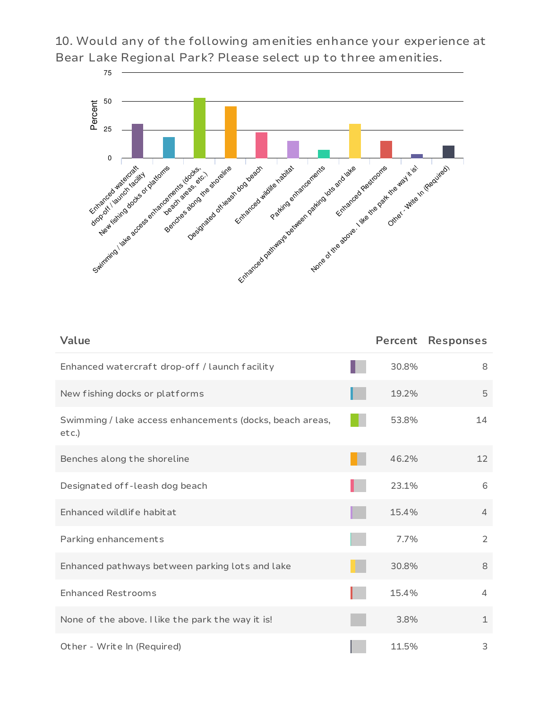10. Would any of the following amenities enhance your experience at Bear Lake Regional Park? Please select up to three amenities.



| Value                                                                | Percent | <b>Responses</b> |
|----------------------------------------------------------------------|---------|------------------|
| Enhanced watercraft drop-off / launch facility                       | 30.8%   | 8                |
| New fishing docks or platforms                                       | 19.2%   | 5                |
| Swimming / lake access enhancements (docks, beach areas,<br>$etc.$ ) | 53.8%   | 14               |
| Benches along the shoreline                                          | 46.2%   | 12               |
| Designated off-leash dog beach                                       | 23.1%   | 6                |
| Enhanced wildlife habitat                                            | 15.4%   | $\overline{4}$   |
| Parking enhancements                                                 | 7.7%    | $\overline{2}$   |
| Enhanced pathways between parking lots and lake                      | 30.8%   | 8                |
| <b>Enhanced Restrooms</b>                                            | 15.4%   | 4                |
| None of the above. I like the park the way it is!                    | 3.8%    | $\mathbf 1$      |
| Other - Write In (Required)                                          | 11.5%   | 3                |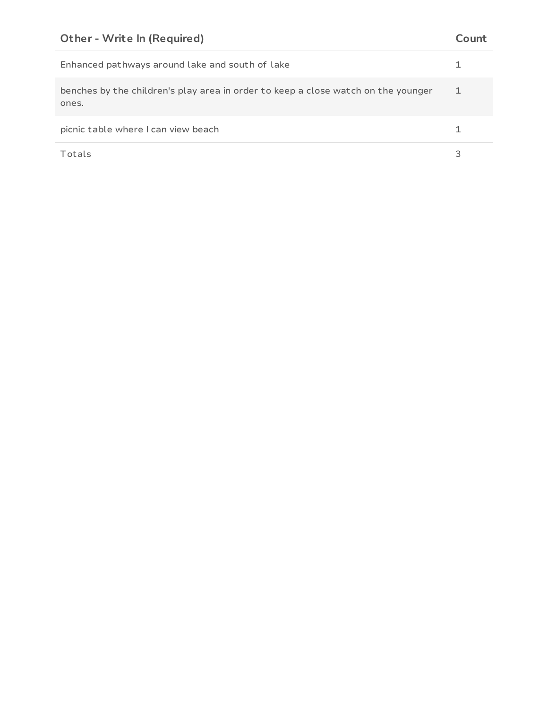| Enhanced pathways around lake and south of lake                                            |  |
|--------------------------------------------------------------------------------------------|--|
| benches by the children's play area in order to keep a close watch on the younger<br>ones. |  |
| picnic table where I can view beach                                                        |  |
| Totals                                                                                     |  |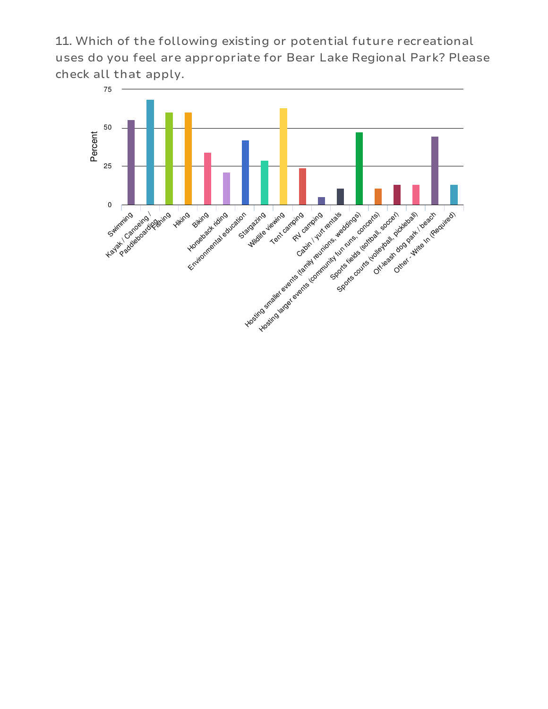11. Which of the following existing or potential future recreational uses do you feel are appropriate for Bear Lake Regional Park? Please check all that apply.

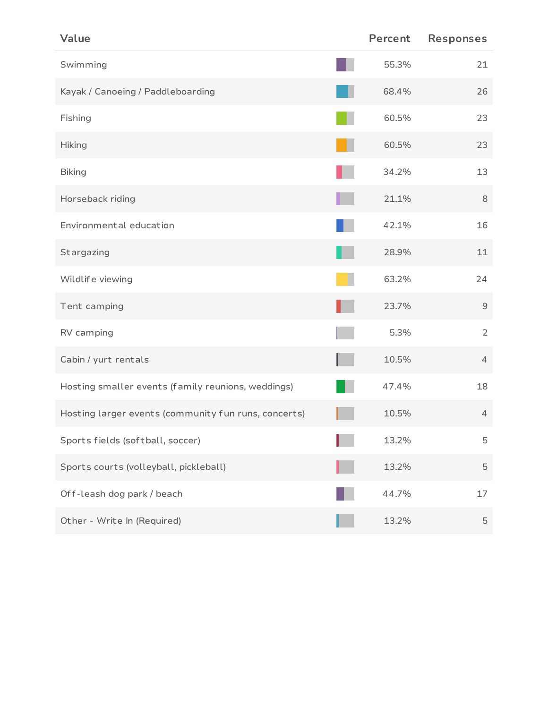| Value                                                | Percent | <b>Responses</b>                                          |
|------------------------------------------------------|---------|-----------------------------------------------------------|
| Swimming                                             | 55.3%   | 21                                                        |
| Kayak / Canoeing / Paddleboarding                    | 68.4%   | 26                                                        |
| Fishing                                              | 60.5%   | 23                                                        |
| <b>Hiking</b>                                        | 60.5%   | 23                                                        |
| <b>Biking</b>                                        | 34.2%   | 13                                                        |
| Horseback riding                                     | 21.1%   | 8                                                         |
| Environmental education                              | 42.1%   | 16                                                        |
| Stargazing                                           | 28.9%   | 11                                                        |
| Wildlife viewing                                     | 63.2%   | 24                                                        |
| Tent camping                                         | 23.7%   | $\mathcal{G}% _{M_{1},M_{2}}^{\alpha,\beta}(\varepsilon)$ |
| RV camping                                           | 5.3%    | $\overline{2}$                                            |
| Cabin / yurt rentals                                 | 10.5%   | $\overline{4}$                                            |
| Hosting smaller events (family reunions, weddings)   | 47.4%   | 18                                                        |
| Hosting larger events (community fun runs, concerts) | 10.5%   | $\overline{4}$                                            |
| Sports fields (softball, soccer)                     | 13.2%   | 5                                                         |
| Sports courts (volleyball, pickleball)               | 13.2%   | $\mathbf 5$                                               |
| Off-leash dog park / beach                           | 44.7%   | 17                                                        |
| Other - Write In (Required)                          | 13.2%   | $\mathbf 5$                                               |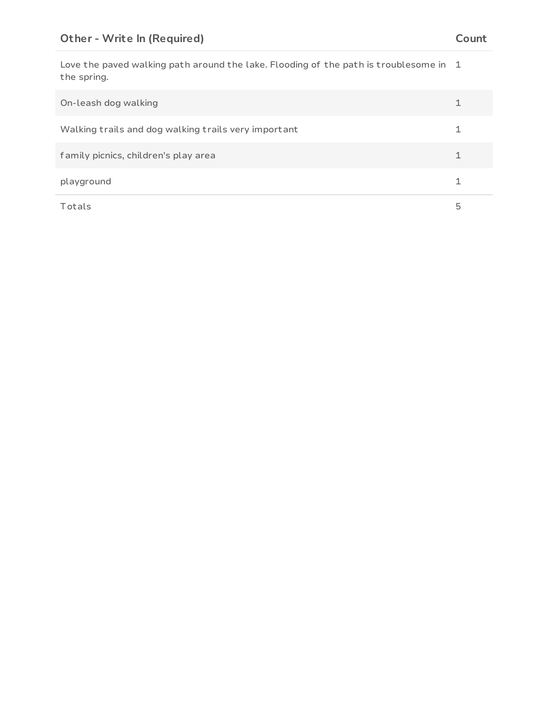Love the paved walking path around the lake. Flooding of the path is troublesome in 1 the spring.

| On-leash dog walking                                 |   |
|------------------------------------------------------|---|
| Walking trails and dog walking trails very important |   |
| family picnics, children's play area                 |   |
| playground                                           |   |
| Totals                                               | 5 |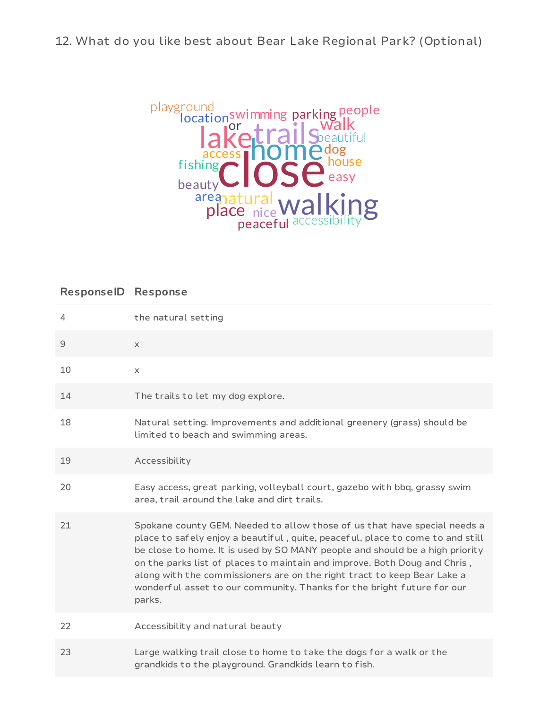12. What do you like best about Bear Lake Regional Park? (Optional)



# **ResponseID Response**

| 4  | the natural setting                                                                                                                                                                                                                                                                                                                                                                                                                                                                     |
|----|-----------------------------------------------------------------------------------------------------------------------------------------------------------------------------------------------------------------------------------------------------------------------------------------------------------------------------------------------------------------------------------------------------------------------------------------------------------------------------------------|
| 9  | $\times$                                                                                                                                                                                                                                                                                                                                                                                                                                                                                |
| 10 | $\times$                                                                                                                                                                                                                                                                                                                                                                                                                                                                                |
| 14 | The trails to let my dog explore.                                                                                                                                                                                                                                                                                                                                                                                                                                                       |
| 18 | Natural setting. Improvements and additional greenery (grass) should be<br>limited to beach and swimming areas.                                                                                                                                                                                                                                                                                                                                                                         |
| 19 | Accessibility                                                                                                                                                                                                                                                                                                                                                                                                                                                                           |
| 20 | Easy access, great parking, volleyball court, gazebo with bbq, grassy swim<br>area, trail around the lake and dirt trails.                                                                                                                                                                                                                                                                                                                                                              |
| 21 | Spokane county GEM. Needed to allow those of us that have special needs a<br>place to safely enjoy a beautiful, quite, peaceful, place to come to and still<br>be close to home. It is used by SO MANY people and should be a high priority<br>on the parks list of places to maintain and improve. Both Doug and Chris,<br>along with the commissioners are on the right tract to keep Bear Lake a<br>wonderful asset to our community. Thanks for the bright future for our<br>parks. |
| 22 | Accessibility and natural beauty                                                                                                                                                                                                                                                                                                                                                                                                                                                        |
| 23 | Large walking trail close to home to take the dogs for a walk or the<br>grandkids to the playground. Grandkids learn to fish.                                                                                                                                                                                                                                                                                                                                                           |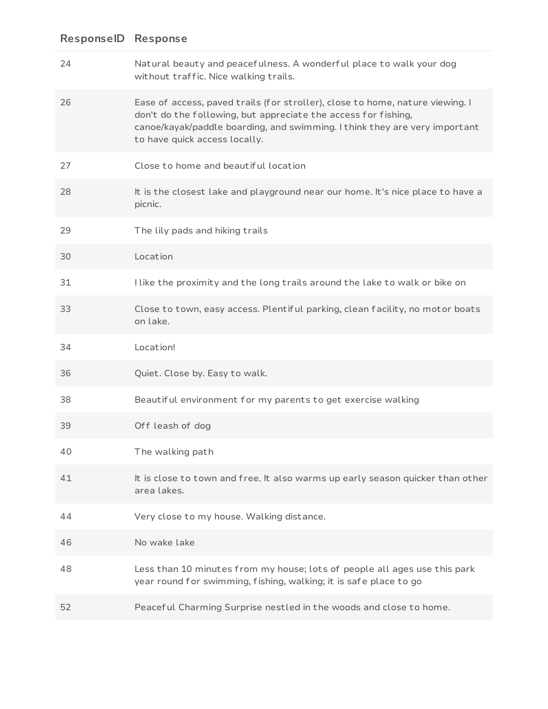| 24 | Natural beauty and peacefulness. A wonderful place to walk your dog<br>without traffic. Nice walking trails.                                                                                                                                                   |
|----|----------------------------------------------------------------------------------------------------------------------------------------------------------------------------------------------------------------------------------------------------------------|
| 26 | Ease of access, paved trails (for stroller), close to home, nature viewing. I<br>don't do the following, but appreciate the access for fishing,<br>canoe/kayak/paddle boarding, and swimming. I think they are very important<br>to have quick access locally. |
| 27 | Close to home and beautiful location                                                                                                                                                                                                                           |
| 28 | It is the closest lake and playground near our home. It's nice place to have a<br>picnic.                                                                                                                                                                      |
| 29 | The lily pads and hiking trails                                                                                                                                                                                                                                |
| 30 | Location                                                                                                                                                                                                                                                       |
| 31 | I like the proximity and the long trails around the lake to walk or bike on                                                                                                                                                                                    |
| 33 | Close to town, easy access. Plentiful parking, clean facility, no motor boats<br>on lake.                                                                                                                                                                      |
|    |                                                                                                                                                                                                                                                                |
| 34 | Location!                                                                                                                                                                                                                                                      |
| 36 | Quiet. Close by. Easy to walk.                                                                                                                                                                                                                                 |
| 38 | Beautiful environment for my parents to get exercise walking                                                                                                                                                                                                   |
| 39 | Off leash of dog                                                                                                                                                                                                                                               |
| 40 | The walking path                                                                                                                                                                                                                                               |
| 41 | It is close to town and free. It also warms up early season quicker than other<br>area lakes.                                                                                                                                                                  |
| 44 | Very close to my house. Walking distance.                                                                                                                                                                                                                      |
| 46 | No wake lake                                                                                                                                                                                                                                                   |
| 48 | Less than 10 minutes from my house; lots of people all ages use this park<br>year round for swimming, fishing, walking; it is safe place to go                                                                                                                 |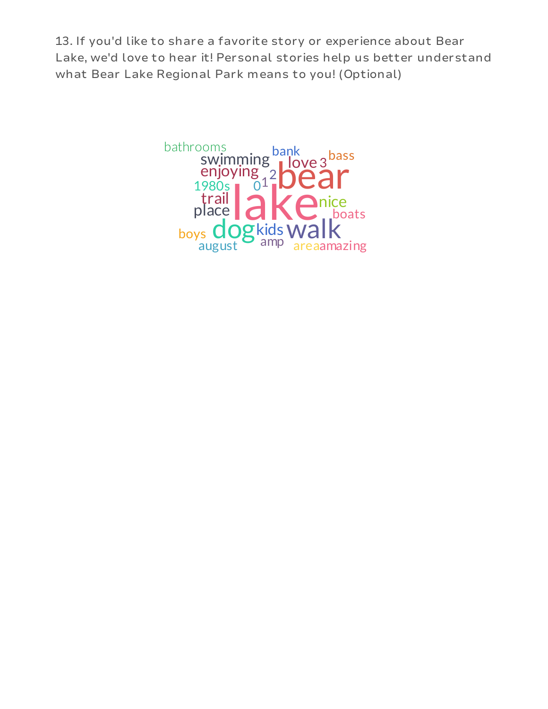13. If you'd like to share a favorite story or experience about Bear Lake, we'd love to hear it! Personal stories help us better understand what Bear Lake Regional Park means to you! (Optional)

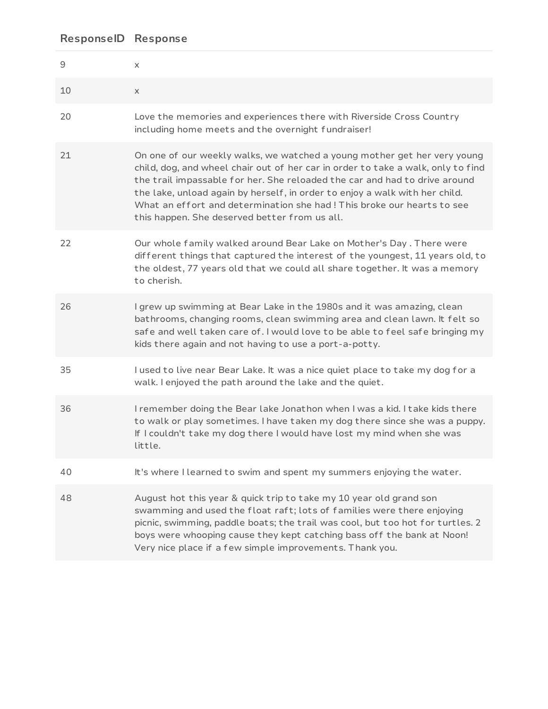| ResponseID  | <b>Response</b>                                                                                                                                                                                                                                                                                                                                                                                                                                      |
|-------------|------------------------------------------------------------------------------------------------------------------------------------------------------------------------------------------------------------------------------------------------------------------------------------------------------------------------------------------------------------------------------------------------------------------------------------------------------|
| $\mathsf 9$ | X                                                                                                                                                                                                                                                                                                                                                                                                                                                    |
| 10          | X                                                                                                                                                                                                                                                                                                                                                                                                                                                    |
| 20          | Love the memories and experiences there with Riverside Cross Country<br>including home meets and the overnight fundraiser!                                                                                                                                                                                                                                                                                                                           |
| 21          | On one of our weekly walks, we watched a young mother get her very young<br>child, dog, and wheel chair out of her car in order to take a walk, only to find<br>the trail impassable for her. She reloaded the car and had to drive around<br>the lake, unload again by herself, in order to enjoy a walk with her child.<br>What an effort and determination she had! This broke our hearts to see<br>this happen. She deserved better from us all. |
| 22          | Our whole family walked around Bear Lake on Mother's Day . There were<br>different things that captured the interest of the youngest, 11 years old, to<br>the oldest, 77 years old that we could all share together. It was a memory<br>to cherish.                                                                                                                                                                                                  |
| 26          | I grew up swimming at Bear Lake in the 1980s and it was amazing, clean<br>bathrooms, changing rooms, clean swimming area and clean lawn. It felt so<br>safe and well taken care of. I would love to be able to feel safe bringing my<br>kids there again and not having to use a port-a-potty.                                                                                                                                                       |
| 35          | I used to live near Bear Lake. It was a nice quiet place to take my dog for a<br>walk. I enjoyed the path around the lake and the quiet.                                                                                                                                                                                                                                                                                                             |
| 36          | I remember doing the Bear lake Jonathon when I was a kid. I take kids there<br>to walk or play sometimes. I have taken my dog there since she was a puppy.<br>If I couldn't take my dog there I would have lost my mind when she was<br>little.                                                                                                                                                                                                      |
| 40          | It's where I learned to swim and spent my summers enjoying the water.                                                                                                                                                                                                                                                                                                                                                                                |
| 48          | August hot this year & quick trip to take my 10 year old grand son<br>swamming and used the float raft; lots of families were there enjoying<br>picnic, swimming, paddle boats; the trail was cool, but too hot for turtles. 2<br>boys were whooping cause they kept catching bass off the bank at Noon!<br>Very nice place if a few simple improvements. Thank you.                                                                                 |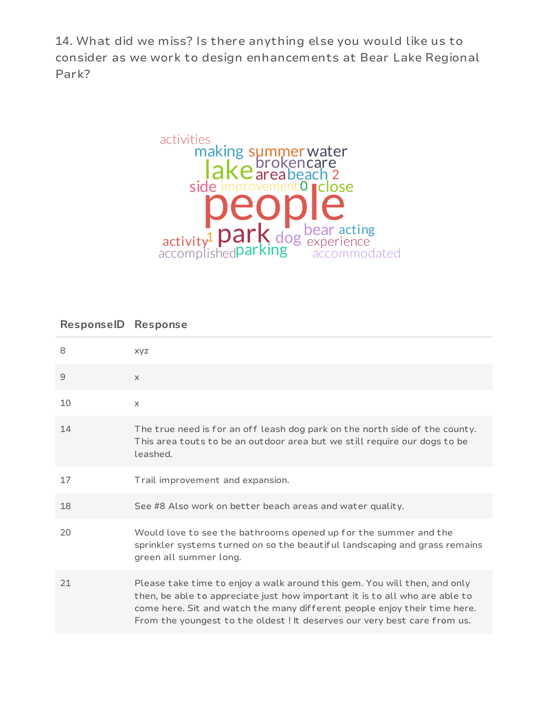14. What did we miss? Is there anything else you would like us to consider as we work to design enhancements at Bear Lake Regional Park?



## **ResponseID Response**

| 8           | <b>XYZ</b>                                                                                                                                                                                                                                                                                                         |
|-------------|--------------------------------------------------------------------------------------------------------------------------------------------------------------------------------------------------------------------------------------------------------------------------------------------------------------------|
| $\mathsf 9$ | $\times$                                                                                                                                                                                                                                                                                                           |
| 10          | $\times$                                                                                                                                                                                                                                                                                                           |
| 14          | The true need is for an off leash dog park on the north side of the county.<br>This area touts to be an outdoor area but we still require our dogs to be<br>leashed.                                                                                                                                               |
| 17          | Trail improvement and expansion.                                                                                                                                                                                                                                                                                   |
| 18          | See #8 Also work on better beach areas and water quality.                                                                                                                                                                                                                                                          |
| 20          | Would love to see the bathrooms opened up for the summer and the<br>sprinkler systems turned on so the beautiful landscaping and grass remains<br>green all summer long.                                                                                                                                           |
| 21          | Please take time to enjoy a walk around this gem. You will then, and only<br>then, be able to appreciate just how important it is to all who are able to<br>come here. Sit and watch the many different people enjoy their time here.<br>From the youngest to the oldest ! It deserves our very best care from us. |